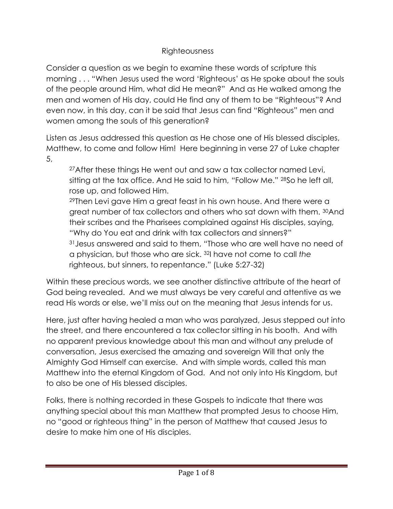## Righteousness

Consider a question as we begin to examine these words of scripture this morning . . . "When Jesus used the word 'Righteous' as He spoke about the souls of the people around Him, what did He mean?" And as He walked among the men and women of His day, could He find any of them to be "Righteous"? And even now, in this day, can it be said that Jesus can find "Righteous" men and women among the souls of this generation?

Listen as Jesus addressed this question as He chose one of His blessed disciples, Matthew, to come and follow Him! Here beginning in verse 27 of Luke chapter 5,

27 After these things He went out and saw a tax collector named Levi, sitting at the tax office. And He said to him, "Follow Me." 28So he left all, rose up, and followed Him.

<sup>29</sup>Then Levi gave Him a great feast in his own house. And there were a great number of tax collectors and others who sat down with them. <sup>30</sup>And their scribes and the Pharisees complained against His disciples, saying, "Why do You eat and drink with tax collectors and sinners?" <sup>31</sup>Jesus answered and said to them, "Those who are well have no need of a physician, but those who are sick. <sup>32</sup>I have not come to call *the* righteous, but sinners, to repentance." (Luke 5:27-32)

Within these precious words, we see another distinctive attribute of the heart of God being revealed. And we must always be very careful and attentive as we read His words or else, we'll miss out on the meaning that Jesus intends for us.

Here, just after having healed a man who was paralyzed, Jesus stepped out into the street, and there encountered a tax collector sitting in his booth. And with no apparent previous knowledge about this man and without any prelude of conversation, Jesus exercised the amazing and sovereign Will that only the Almighty God Himself can exercise. And with simple words, called this man Matthew into the eternal Kingdom of God. And not only into His Kingdom, but to also be one of His blessed disciples.

Folks, there is nothing recorded in these Gospels to indicate that there was anything special about this man Matthew that prompted Jesus to choose Him, no "good or righteous thing" in the person of Matthew that caused Jesus to desire to make him one of His disciples.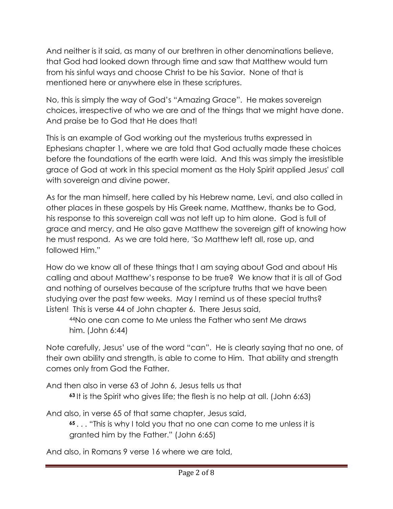And neither is it said, as many of our brethren in other denominations believe, that God had looked down through time and saw that Matthew would turn from his sinful ways and choose Christ to be his Savior. None of that is mentioned here or anywhere else in these scriptures.

No, this is simply the way of God's "Amazing Grace". He makes sovereign choices, irrespective of who we are and of the things that we might have done. And praise be to God that He does that!

This is an example of God working out the mysterious truths expressed in Ephesians chapter 1, where we are told that God actually made these choices before the foundations of the earth were laid. And this was simply the irresistible grace of God at work in this special moment as the Holy Spirit applied Jesus' call with sovereign and divine power.

As for the man himself, here called by his Hebrew name, Levi, and also called in other places in these gospels by His Greek name, Matthew, thanks be to God, his response to this sovereign call was not left up to him alone. God is full of grace and mercy, and He also gave Matthew the sovereign gift of knowing how he must respond. As we are told here, "So Matthew left all, rose up, and followed Him."

How do we know all of these things that I am saying about God and about His calling and about Matthew's response to be true? We know that it is all of God and nothing of ourselves because of the scripture truths that we have been studying over the past few weeks. May I remind us of these special truths? Listen! This is verse 44 of John chapter 6. There Jesus said,

<sup>44</sup>No one can come to Me unless the Father who sent Me draws him. (John 6:44)

Note carefully, Jesus' use of the word "can". He is clearly saying that no one, of their own ability and strength, is able to come to Him. That ability and strength comes only from God the Father.

And then also in verse 63 of John 6, Jesus tells us that **<sup>63</sup>** It is the Spirit who gives life; the flesh is no help at all. (John 6:63)

And also, in verse 65 of that same chapter, Jesus said,

**<sup>65</sup>** . . . "This is why I told you that no one can come to me unless it is granted him by the Father." (John 6:65)

And also, in Romans 9 verse 16 where we are told,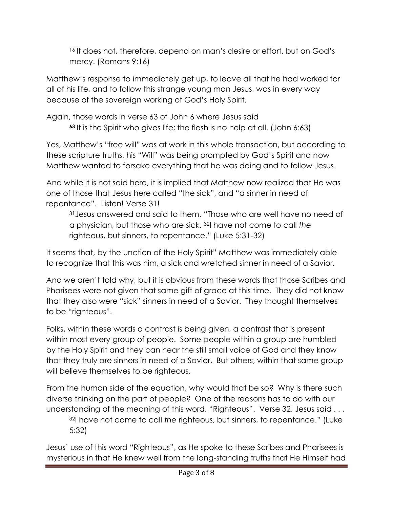<sup>16</sup> It does not, therefore, depend on man's desire or effort, but on God's mercy. (Romans 9:16)

Matthew's response to immediately get up, to leave all that he had worked for all of his life, and to follow this strange young man Jesus, was in every way because of the sovereign working of God's Holy Spirit.

Again, those words in verse 63 of John 6 where Jesus said **<sup>63</sup>** It is the Spirit who gives life; the flesh is no help at all. (John 6:63)

Yes, Matthew's "free will" was at work in this whole transaction, but according to these scripture truths, his "Will" was being prompted by God's Spirit and now Matthew wanted to forsake everything that he was doing and to follow Jesus.

And while it is not said here, it is implied that Matthew now realized that He was one of those that Jesus here called "the sick", and "a sinner in need of repentance". Listen! Verse 31!

<sup>31</sup> Jesus answered and said to them, "Those who are well have no need of a physician, but those who are sick. <sup>32</sup>I have not come to call *the* righteous, but sinners, to repentance." (Luke 5:31-32)

It seems that, by the unction of the Holy Spirit" Matthew was immediately able to recognize that this was him, a sick and wretched sinner in need of a Savior.

And we aren't told why, but it is obvious from these words that those Scribes and Pharisees were not given that same gift of grace at this time. They did not know that they also were "sick" sinners in need of a Savior. They thought themselves to be "righteous".

Folks, within these words a contrast is being given, a contrast that is present within most every group of people. Some people within a group are humbled by the Holy Spirit and they can hear the still small voice of God and they know that they truly are sinners in need of a Savior. But others, within that same group will believe themselves to be righteous.

From the human side of the equation, why would that be so? Why is there such diverse thinking on the part of people? One of the reasons has to do with our understanding of the meaning of this word, "Righteous". Verse 32, Jesus said . . .

<sup>32</sup>I have not come to call *the* righteous, but sinners, to repentance." (Luke 5:32)

Jesus' use of this word "Righteous", as He spoke to these Scribes and Pharisees is mysterious in that He knew well from the long-standing truths that He Himself had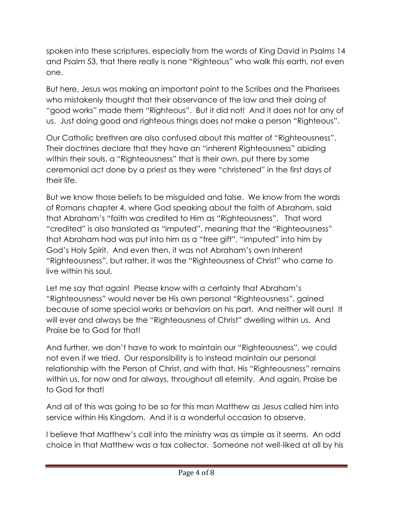spoken into these scriptures, especially from the words of King David in Psalms 14 and Psalm 53, that there really is none "Righteous" who walk this earth, not even one.

But here, Jesus was making an important point to the Scribes and the Pharisees who mistakenly thought that their observance of the law and their doing of "good works" made them "Righteous". But it did not! And it does not for any of us. Just doing good and righteous things does not make a person "Righteous".

Our Catholic brethren are also confused about this matter of "Righteousness". Their doctrines declare that they have an "inherent Righteousness" abiding within their souls, a "Righteousness" that is their own, put there by some ceremonial act done by a priest as they were "christened" in the first days of their life.

But we know those beliefs to be misguided and false. We know from the words of Romans chapter 4, where God speaking about the faith of Abraham, said that Abraham's "faith was credited to Him as "Righteousness". That word "credited" is also translated as "imputed", meaning that the "Righteousness" that Abraham had was put into him as a "free gift", "imputed" into him by God's Holy Spirit. And even then, it was not Abraham's own Inherent "Righteousness", but rather, it was the "Righteousness of Christ" who came to live within his soul.

Let me say that again! Please know with a certainty that Abraham's "Righteousness" would never be His own personal "Righteousness", gained because of some special works or behaviors on his part. And neither will ours! It will ever and always be the "Righteousness of Christ" dwelling within us. And Praise be to God for that!

And further, we don't have to work to maintain our "Righteousness", we could not even if we tried. Our responsibility is to instead maintain our personal relationship with the Person of Christ, and with that, His "Righteousness" remains within us, for now and for always, throughout all eternity. And again, Praise be to God for that!

And all of this was going to be so for this man Matthew as Jesus called him into service within His Kingdom. And it is a wonderful occasion to observe.

I believe that Matthew's call into the ministry was as simple as it seems. An odd choice in that Matthew was a tax collector. Someone not well-liked at all by his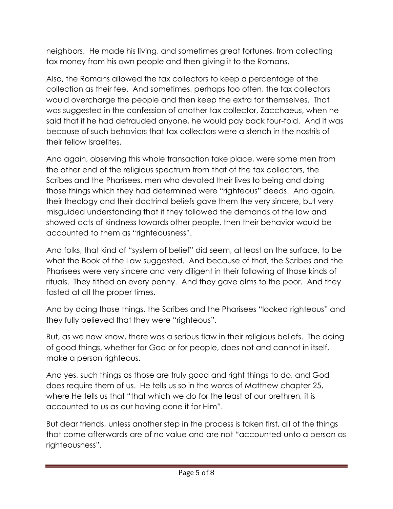neighbors. He made his living, and sometimes great fortunes, from collecting tax money from his own people and then giving it to the Romans.

Also, the Romans allowed the tax collectors to keep a percentage of the collection as their fee. And sometimes, perhaps too often, the tax collectors would overcharge the people and then keep the extra for themselves. That was suggested in the confession of another tax collector, Zacchaeus, when he said that if he had defrauded anyone, he would pay back four-fold. And it was because of such behaviors that tax collectors were a stench in the nostrils of their fellow Israelites.

And again, observing this whole transaction take place, were some men from the other end of the religious spectrum from that of the tax collectors, the Scribes and the Pharisees, men who devoted their lives to being and doing those things which they had determined were "righteous" deeds. And again, their theology and their doctrinal beliefs gave them the very sincere, but very misguided understanding that if they followed the demands of the law and showed acts of kindness towards other people, then their behavior would be accounted to them as "righteousness".

And folks, that kind of "system of belief" did seem, at least on the surface, to be what the Book of the Law suggested. And because of that, the Scribes and the Pharisees were very sincere and very diligent in their following of those kinds of rituals. They tithed on every penny. And they gave alms to the poor. And they fasted at all the proper times.

And by doing those things, the Scribes and the Pharisees "looked righteous" and they fully believed that they were "righteous".

But, as we now know, there was a serious flaw in their religious beliefs. The doing of good things, whether for God or for people, does not and cannot in itself, make a person righteous.

And yes, such things as those are truly good and right things to do, and God does require them of us. He tells us so in the words of Matthew chapter 25, where He tells us that "that which we do for the least of our brethren, it is accounted to us as our having done it for Him".

But dear friends, unless another step in the process is taken first, all of the things that come afterwards are of no value and are not "accounted unto a person as righteousness".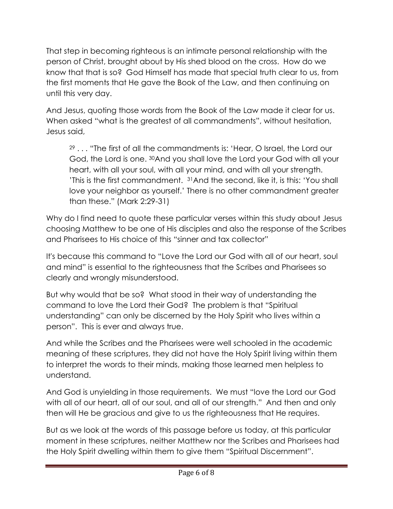That step in becoming righteous is an intimate personal relationship with the person of Christ, brought about by His shed blood on the cross. How do we know that that is so? God Himself has made that special truth clear to us, from the first moments that He gave the Book of the Law, and then continuing on until this very day.

And Jesus, quoting those words from the Book of the Law made it clear for us. When asked "what is the greatest of all commandments", without hesitation, Jesus said,

<sup>29</sup> . . . "The first of all the commandments is: 'Hear, O Israel, the Lord our God, the Lord is one. <sup>30</sup>And you shall love the Lord your God with all your heart, with all your soul, with all your mind, and with all your strength. 'This is the first commandment. <sup>31</sup>And the second, like it, is this: 'You shall love your neighbor as yourself.' There is no other commandment greater than these." (Mark 2:29-31)

Why do I find need to quote these particular verses within this study about Jesus choosing Matthew to be one of His disciples and also the response of the Scribes and Pharisees to His choice of this "sinner and tax collector"

It's because this command to "Love the Lord our God with all of our heart, soul and mind" is essential to the righteousness that the Scribes and Pharisees so clearly and wrongly misunderstood.

But why would that be so? What stood in their way of understanding the command to love the Lord their God? The problem is that "Spiritual understanding" can only be discerned by the Holy Spirit who lives within a person". This is ever and always true.

And while the Scribes and the Pharisees were well schooled in the academic meaning of these scriptures, they did not have the Holy Spirit living within them to interpret the words to their minds, making those learned men helpless to understand.

And God is unyielding in those requirements. We must "love the Lord our God with all of our heart, all of our soul, and all of our strength." And then and only then will He be gracious and give to us the righteousness that He requires.

But as we look at the words of this passage before us today, at this particular moment in these scriptures, neither Matthew nor the Scribes and Pharisees had the Holy Spirit dwelling within them to give them "Spiritual Discernment".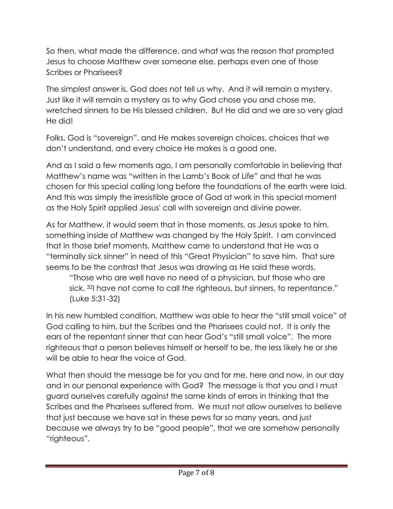So then, what made the difference, and what was the reason that prompted Jesus to choose Matthew over someone else, perhaps even one of those Scribes or Pharisees?

The simplest answer is, God does not tell us why. And it will remain a mystery. Just like it will remain a mystery as to why God chose you and chose me, wretched sinners to be His blessed children. But He did and we are so very glad He did!

Folks, God is "sovereign", and He makes sovereign choices, choices that we don't understand, and every choice He makes is a good one.

And as I said a few moments ago, I am personally comfortable in believing that Matthew's name was "written in the Lamb's Book of Life" and that he was chosen for this special calling long before the foundations of the earth were laid. And this was simply the irresistible grace of God at work in this special moment as the Holy Spirit applied Jesus' call with sovereign and divine power.

As for Matthew, it would seem that in those moments, as Jesus spoke to him, something inside of Matthew was changed by the Holy Spirit. I am convinced that in those brief moments, Matthew came to understand that He was a "terminally sick sinner" in need of this "Great Physician" to save him. That sure seems to be the contrast that Jesus was drawing as He said these words,

"Those who are well have no need of a physician, but those who are sick. <sup>32</sup>I have not come to call *the* righteous, but sinners, to repentance." (Luke 5:31-32)

In his new humbled condition, Matthew was able to hear the "still small voice" of God calling to him, but the Scribes and the Pharisees could not. It is only the ears of the repentant sinner that can hear God's "still small voice". The more righteous that a person believes himself or herself to be, the less likely he or she will be able to hear the voice of God.

What then should the message be for you and for me, here and now, in our day and in our personal experience with God? The message is that you and I must guard ourselves carefully against the same kinds of errors in thinking that the Scribes and the Pharisees suffered from. We must not allow ourselves to believe that just because we have sat in these pews for so many years, and just because we always try to be "good people", that we are somehow personally "righteous".